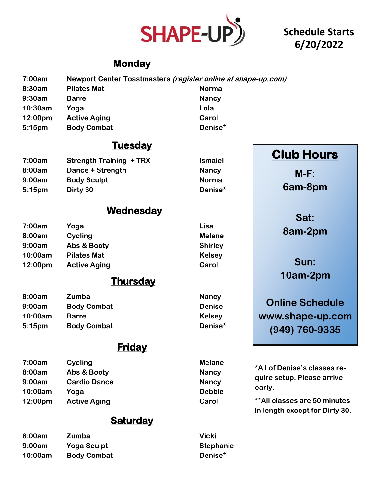

 $I$ smaiel **Nancy Norma 5:15pm Dirty 30 Denise\***

## **Schedule Starts 6/20/2022**

## **Monday**

| 7:00am | Newport Center Toastmasters (register online at shape-up.com) |
|--------|---------------------------------------------------------------|
| ---    |                                                               |

| 8:30am             | <b>Pilates Mat</b>  | <b>Norma</b> |
|--------------------|---------------------|--------------|
| 9:30am             | <b>Barre</b>        | <b>Nancy</b> |
| 10:30am            | Yoga                | Lola         |
| $12:00 \text{pm}$  | <b>Active Aging</b> | Carol        |
| 5:15 <sub>pm</sub> | <b>Body Combat</b>  | Denise*      |

## **Tuesday**

| 7:00am    | <b>Strength Training + TRX</b> |
|-----------|--------------------------------|
| 8:00am    | Dance + Strength               |
| 9:00am    | <b>Body Sculpt</b>             |
| $5:15$ pm | Dirty 30                       |

## **Wednesday**

| 7:00am  | Yoga                | Lisa           |  |
|---------|---------------------|----------------|--|
| 8:00am  | Cycling             | <b>Melane</b>  |  |
| 9:00am  | Abs & Booty         | <b>Shirley</b> |  |
| 10:00am | <b>Pilates Mat</b>  | <b>Kelsey</b>  |  |
| 12:00pm | <b>Active Aging</b> | Carol          |  |

## **Thursday**

| 8:00am  | Zumba              | <b>Nancy</b>  |                        |
|---------|--------------------|---------------|------------------------|
| 9:00am  | <b>Body Combat</b> | <b>Denise</b> | <b>Online Schedule</b> |
| 10:00am | <b>Barre</b>       | <b>Kelsey</b> | www.shape-up.com       |
| 5:15pm  | <b>Body Combat</b> | Denise*       | $(949)$ 760-9335       |

## **Friday**

| 7:00am  | Cycling             | <b>Melane</b> |                                                            |  |
|---------|---------------------|---------------|------------------------------------------------------------|--|
| 8:00am  | Abs & Booty         | <b>Nancy</b>  | *All of Denise's classes re-<br>quire setup. Please arrive |  |
| 9:00am  | <b>Cardio Dance</b> | <b>Nancy</b>  |                                                            |  |
| 10:00am | Yoga                | <b>Debbie</b> | early.                                                     |  |
| 12:00pm | <b>Active Aging</b> | Carol         | <b>**All classes are 50 minutes</b>                        |  |
|         |                     |               | in length except for Dirty 30.                             |  |

## **Saturday**

| 8:00am  | Zumba              | Vicki            |
|---------|--------------------|------------------|
| 9:00am  | <b>Yoga Sculpt</b> | <b>Stephanie</b> |
| 10:00am | <b>Body Combat</b> | Denise*          |

# **Club Hours**

**M-F:**

**6am-8pm**

**Sat: 8am-2pm**

**Sun: 10am-2pm**

**www.shape-up.com (949) 760-9335**